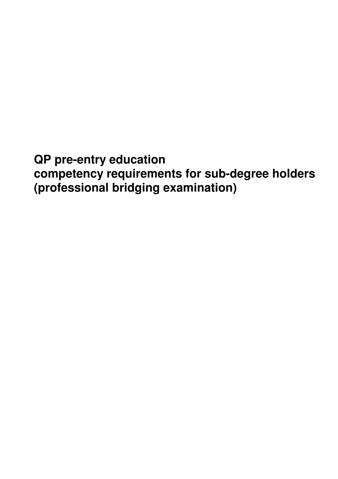**QP pre-entry education competency requirements for sub-degree holders (professional bridging examination)**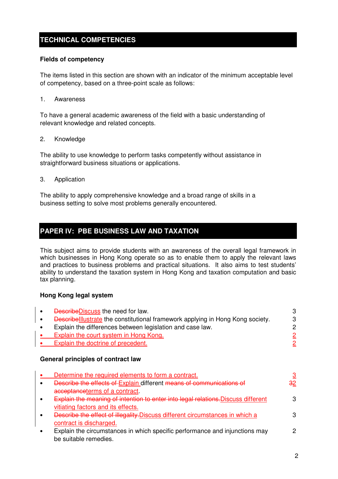### **TECHNICAL COMPETENCIES**

#### **Fields of competency**

The items listed in this section are shown with an indicator of the minimum acceptable level of competency, based on a three-point scale as follows:

1. Awareness

To have a general academic awareness of the field with a basic understanding of relevant knowledge and related concepts.

2. Knowledge

The ability to use knowledge to perform tasks competently without assistance in straightforward business situations or applications.

3. Application

The ability to apply comprehensive knowledge and a broad range of skills in a business setting to solve most problems generally encountered.

# **PAPER IV: PBE BUSINESS LAW AND TAXATION**

This subject aims to provide students with an awareness of the overall legal framework in which businesses in Hong Kong operate so as to enable them to apply the relevant laws and practices to business problems and practical situations. It also aims to test students' ability to understand the taxation system in Hong Kong and taxation computation and basic tax planning.

#### **Hong Kong legal system**

| $\bullet$ | Describe Discuss the need for law.                                             | 3              |
|-----------|--------------------------------------------------------------------------------|----------------|
| $\bullet$ | Describelllustrate the constitutional framework applying in Hong Kong society. | 3              |
| $\bullet$ | Explain the differences between legislation and case law.                      | 2              |
|           | Explain the court system in Hong Kong.                                         | $\overline{2}$ |
| $\bullet$ | Explain the doctrine of precedent.                                             | 2              |

#### **General principles of contract law**

| Determine the required elements to form a contract.                               | 3  |
|-----------------------------------------------------------------------------------|----|
| Describe the effects of Explain different means of communications of              | 32 |
| acceptanceterms of a contract.                                                    |    |
| Explain the meaning of intention to enter into legal relations. Discuss different |    |
| vitiating factors and its effects.                                                |    |
| Describe the effect of illegality. Discuss different circumstances in which a     |    |
| contract is discharged.                                                           |    |
| Explain the circumstances in which specific performance and injunctions may       |    |
| be suitable remedies.                                                             |    |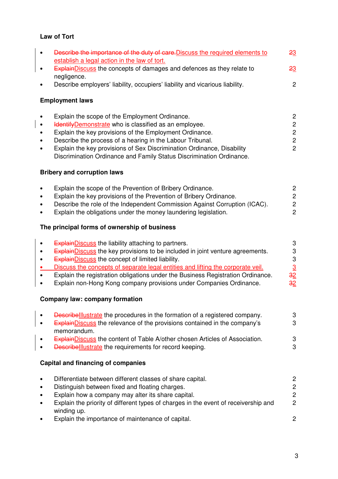### **Law of Tort**

| Describe the importance of the duty of care. Discuss the required elements to<br>establish a legal action in the law of tort.                                                                                                                                                                                                                                                                                                                                           | <u>23</u>                                                                              |
|-------------------------------------------------------------------------------------------------------------------------------------------------------------------------------------------------------------------------------------------------------------------------------------------------------------------------------------------------------------------------------------------------------------------------------------------------------------------------|----------------------------------------------------------------------------------------|
| <b>ExplainDiscuss</b> the concepts of damages and defences as they relate to<br>negligence.                                                                                                                                                                                                                                                                                                                                                                             | 23                                                                                     |
| Describe employers' liability, occupiers' liability and vicarious liability.                                                                                                                                                                                                                                                                                                                                                                                            | $\overline{c}$                                                                         |
| <b>Employment laws</b>                                                                                                                                                                                                                                                                                                                                                                                                                                                  |                                                                                        |
| Explain the scope of the Employment Ordinance.<br>$\bullet$<br>$\overline{\phantom{a}}$<br><b>IdentifyDemonstrate who is classified as an employee.</b><br>Explain the key provisions of the Employment Ordinance.<br>Describe the process of a hearing in the Labour Tribunal.<br>Explain the key provisions of Sex Discrimination Ordinance, Disability<br>Discrimination Ordinance and Family Status Discrimination Ordinance.                                       | $\overline{c}$<br>$\overline{\mathbf{c}}$<br>$\frac{2}{2}$<br>$\overline{c}$           |
| <b>Bribery and corruption laws</b>                                                                                                                                                                                                                                                                                                                                                                                                                                      |                                                                                        |
| Explain the scope of the Prevention of Bribery Ordinance.<br>Explain the key provisions of the Prevention of Bribery Ordinance.<br>Describe the role of the Independent Commission Against Corruption (ICAC).<br>Explain the obligations under the money laundering legislation.                                                                                                                                                                                        | $\overline{\mathbf{c}}$<br>$\overline{\mathbf{c}}$<br>$\overline{c}$<br>$\overline{c}$ |
| The principal forms of ownership of business                                                                                                                                                                                                                                                                                                                                                                                                                            |                                                                                        |
| <b>ExplainDiscuss</b> the liability attaching to partners.<br>$\bullet$<br><b>ExplainDiscuss</b> the key provisions to be included in joint venture agreements.<br><b>ExplainDiscuss</b> the concept of limited liability.<br>Discuss the concepts of separate legal entities and lifting the corporate veil.<br>Explain the registration obligations under the Business Registration Ordinance.<br>Explain non-Hong Kong company provisions under Companies Ordinance. | 3<br>3<br>3<br>3 <u>2</u><br>3 <u>2</u><br><mark>32</mark>                             |
| <b>Company law: company formation</b>                                                                                                                                                                                                                                                                                                                                                                                                                                   |                                                                                        |
| <b>Describelliustrate</b> the procedures in the formation of a registered company.<br><b>ExplainDiscuss</b> the relevance of the provisions contained in the company's<br>memorandum.                                                                                                                                                                                                                                                                                   | 3<br>3                                                                                 |
| <b>ExplainDiscuss</b> the content of Table A/other chosen Articles of Association.<br>Describelllustrate the requirements for record keeping.                                                                                                                                                                                                                                                                                                                           | 3<br>3                                                                                 |
| <b>Capital and financing of companies</b>                                                                                                                                                                                                                                                                                                                                                                                                                               |                                                                                        |
| Differentiate between different classes of share capital.<br>Distinguish between fixed and floating charges.<br>Explain how a company may alter its share capital.<br>Explain the priority of different types of charges in the event of receivership and                                                                                                                                                                                                               | $\overline{\mathbf{c}}$<br>$\overline{c}$<br>$\overline{c}$<br>$\overline{c}$          |
| winding up.<br>Explain the importance of maintenance of capital.                                                                                                                                                                                                                                                                                                                                                                                                        | $\overline{c}$                                                                         |